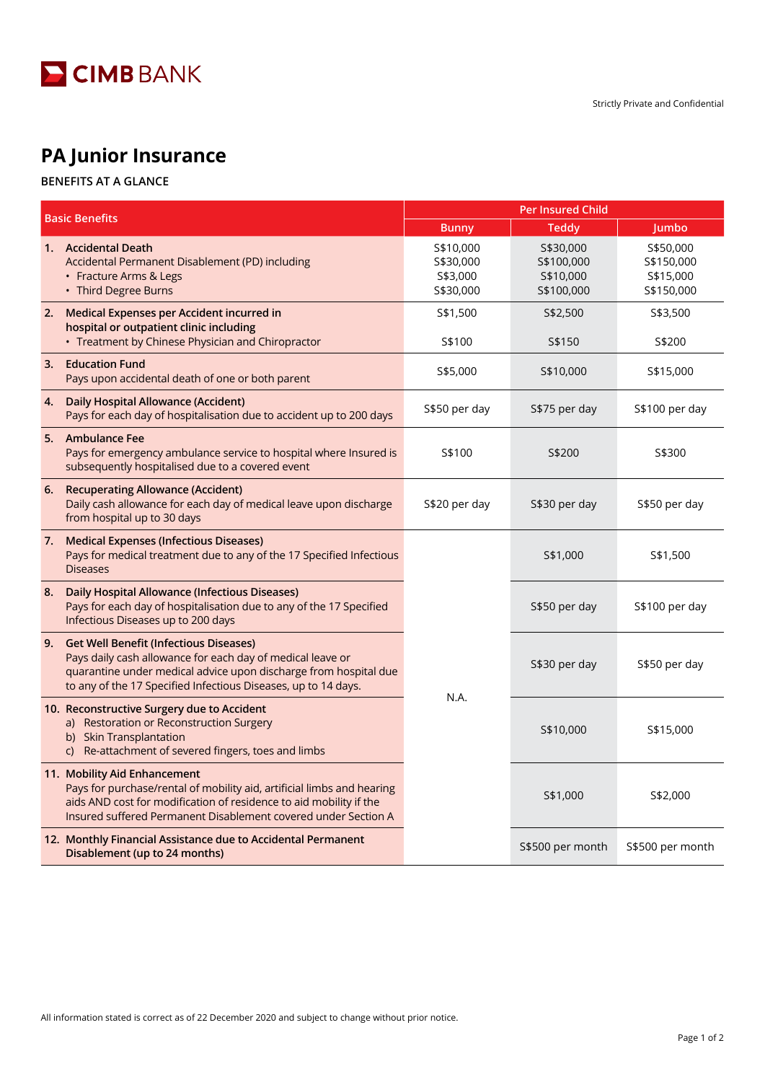

## **PA Junior Insurance**

## **BENEFITS AT A GLANCE**

| Basic Benefits |                                                                                                                                                                                                                                                   | Per Insured Child                               |                                                    |                                                    |
|----------------|---------------------------------------------------------------------------------------------------------------------------------------------------------------------------------------------------------------------------------------------------|-------------------------------------------------|----------------------------------------------------|----------------------------------------------------|
|                |                                                                                                                                                                                                                                                   | <b>Bunny</b>                                    | <b>Teddy</b>                                       | Jumbo                                              |
|                | 1. Accidental Death<br>Accidental Permanent Disablement (PD) including<br>• Fracture Arms & Legs<br>• Third Degree Burns                                                                                                                          | S\$10,000<br>S\$30,000<br>S\$3,000<br>S\$30,000 | S\$30,000<br>S\$100,000<br>S\$10,000<br>S\$100,000 | S\$50,000<br>S\$150,000<br>S\$15,000<br>S\$150,000 |
|                | 2. Medical Expenses per Accident incurred in<br>hospital or outpatient clinic including<br>• Treatment by Chinese Physician and Chiropractor                                                                                                      | S\$1,500<br>S\$100                              | S\$2,500<br>S\$150                                 | S\$3,500<br>S\$200                                 |
| 3.             | <b>Education Fund</b><br>Pays upon accidental death of one or both parent                                                                                                                                                                         | S\$5,000                                        | S\$10,000                                          | S\$15,000                                          |
| 4.             | <b>Daily Hospital Allowance (Accident)</b><br>Pays for each day of hospitalisation due to accident up to 200 days                                                                                                                                 | S\$50 per day                                   | S\$75 per day                                      | S\$100 per day                                     |
|                | 5. Ambulance Fee<br>Pays for emergency ambulance service to hospital where Insured is<br>subsequently hospitalised due to a covered event                                                                                                         | S\$100                                          | S\$200                                             | S\$300                                             |
| 6.             | <b>Recuperating Allowance (Accident)</b><br>Daily cash allowance for each day of medical leave upon discharge<br>from hospital up to 30 days                                                                                                      | S\$20 per day                                   | S\$30 per day                                      | S\$50 per day                                      |
| 7.             | <b>Medical Expenses (Infectious Diseases)</b><br>Pays for medical treatment due to any of the 17 Specified Infectious<br><b>Diseases</b>                                                                                                          | N.A.                                            | S\$1,000                                           | S\$1,500                                           |
| 8.             | <b>Daily Hospital Allowance (Infectious Diseases)</b><br>Pays for each day of hospitalisation due to any of the 17 Specified<br>Infectious Diseases up to 200 days                                                                                |                                                 | S\$50 per day                                      | S\$100 per day                                     |
| 9.             | <b>Get Well Benefit (Infectious Diseases)</b><br>Pays daily cash allowance for each day of medical leave or<br>quarantine under medical advice upon discharge from hospital due<br>to any of the 17 Specified Infectious Diseases, up to 14 days. |                                                 | S\$30 per day                                      | S\$50 per day                                      |
|                | 10. Reconstructive Surgery due to Accident<br>a) Restoration or Reconstruction Surgery<br>b) Skin Transplantation<br>c) Re-attachment of severed fingers, toes and limbs                                                                          |                                                 | S\$10,000                                          | S\$15,000                                          |
|                | 11. Mobility Aid Enhancement<br>Pays for purchase/rental of mobility aid, artificial limbs and hearing<br>aids AND cost for modification of residence to aid mobility if the<br>Insured suffered Permanent Disablement covered under Section A    |                                                 | S\$1,000                                           | S\$2,000                                           |
|                | 12. Monthly Financial Assistance due to Accidental Permanent<br>Disablement (up to 24 months)                                                                                                                                                     |                                                 | S\$500 per month                                   | S\$500 per month                                   |